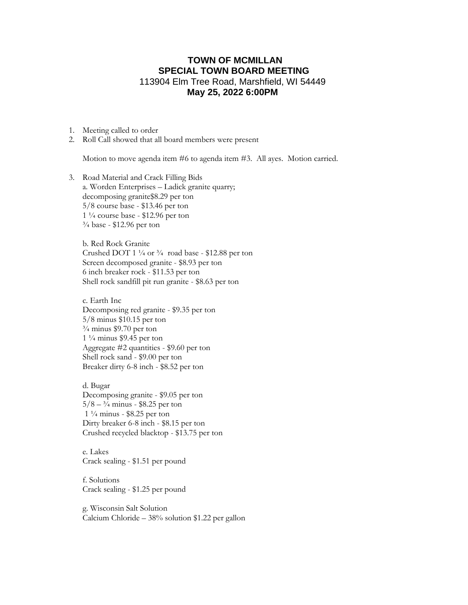## **TOWN OF MCMILLAN SPECIAL TOWN BOARD MEETING** 113904 Elm Tree Road, Marshfield, WI 54449 **May 25, 2022 6:00PM**

- 1. Meeting called to order
- 2. Roll Call showed that all board members were present

Motion to move agenda item #6 to agenda item #3. All ayes. Motion carried.

3. Road Material and Crack Filling Bids a. Worden Enterprises – Ladick granite quarry; decomposing granite\$8.29 per ton 5/8 course base - \$13.46 per ton  $1\frac{1}{4}$  course base - \$12.96 per ton ¾ base - \$12.96 per ton

b. Red Rock Granite Crushed DOT 1  $\frac{1}{4}$  or  $\frac{3}{4}$  road base - \$12.88 per ton Screen decomposed granite - \$8.93 per ton 6 inch breaker rock - \$11.53 per ton Shell rock sandfill pit run granite - \$8.63 per ton

c. Earth Inc Decomposing red granite - \$9.35 per ton 5/8 minus \$10.15 per ton  $\frac{3}{4}$  minus \$9.70 per ton  $1\frac{1}{4}$  minus \$9.45 per ton Aggregate #2 quantities - \$9.60 per ton Shell rock sand - \$9.00 per ton Breaker dirty 6-8 inch - \$8.52 per ton

d. Bugar Decomposing granite - \$9.05 per ton  $5/8 - \frac{3}{4}$  minus - \$8.25 per ton 1 ¼ minus - \$8.25 per ton Dirty breaker 6-8 inch - \$8.15 per ton Crushed recycled blacktop - \$13.75 per ton

e. Lakes Crack sealing - \$1.51 per pound

f. Solutions Crack sealing - \$1.25 per pound

g. Wisconsin Salt Solution Calcium Chloride – 38% solution \$1.22 per gallon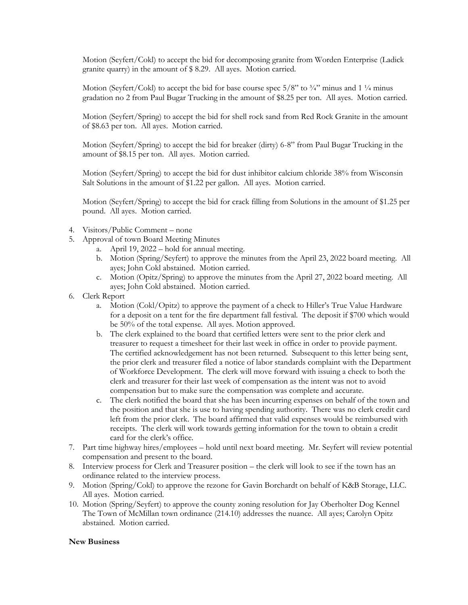Motion (Seyfert/Cokl) to accept the bid for decomposing granite from Worden Enterprise (Ladick granite quarry) in the amount of \$ 8.29. All ayes. Motion carried.

Motion (Seyfert/Cokl) to accept the bid for base course spec  $5/8$ " to  $\frac{3}{4}$ " minus and  $1\frac{1}{4}$  minus gradation no 2 from Paul Bugar Trucking in the amount of \$8.25 per ton. All ayes. Motion carried.

Motion (Seyfert/Spring) to accept the bid for shell rock sand from Red Rock Granite in the amount of \$8.63 per ton. All ayes. Motion carried.

Motion (Seyfert/Spring) to accept the bid for breaker (dirty) 6-8" from Paul Bugar Trucking in the amount of \$8.15 per ton. All ayes. Motion carried.

Motion (Seyfert/Spring) to accept the bid for dust inhibitor calcium chloride 38% from Wisconsin Salt Solutions in the amount of \$1.22 per gallon. All ayes. Motion carried.

Motion (Seyfert/Spring) to accept the bid for crack filling from Solutions in the amount of \$1.25 per pound. All ayes. Motion carried.

- 4. Visitors/Public Comment none
- 5. Approval of town Board Meeting Minutes
	- a. April 19, 2022 hold for annual meeting.
	- b. Motion (Spring/Seyfert) to approve the minutes from the April 23, 2022 board meeting. All ayes; John Cokl abstained. Motion carried.
	- c. Motion (Opitz/Spring) to approve the minutes from the April 27, 2022 board meeting. All ayes; John Cokl abstained. Motion carried.
- 6. Clerk Report
	- a. Motion (Cokl/Opitz) to approve the payment of a check to Hiller's True Value Hardware for a deposit on a tent for the fire department fall festival. The deposit if \$700 which would be 50% of the total expense. All ayes. Motion approved.
	- b. The clerk explained to the board that certified letters were sent to the prior clerk and treasurer to request a timesheet for their last week in office in order to provide payment. The certified acknowledgement has not been returned. Subsequent to this letter being sent, the prior clerk and treasurer filed a notice of labor standards complaint with the Department of Workforce Development. The clerk will move forward with issuing a check to both the clerk and treasurer for their last week of compensation as the intent was not to avoid compensation but to make sure the compensation was complete and accurate.
	- c. The clerk notified the board that she has been incurring expenses on behalf of the town and the position and that she is use to having spending authority. There was no clerk credit card left from the prior clerk. The board affirmed that valid expenses would be reimbursed with receipts. The clerk will work towards getting information for the town to obtain a credit card for the clerk's office.
- 7. Part time highway hires/employees hold until next board meeting. Mr. Seyfert will review potential compensation and present to the board.
- 8. Interview process for Clerk and Treasurer position the clerk will look to see if the town has an ordinance related to the interview process.
- 9. Motion (Spring/Cokl) to approve the rezone for Gavin Borchardt on behalf of K&B Storage, LLC. All ayes. Motion carried.
- 10. Motion (Spring/Seyfert) to approve the county zoning resolution for Jay Oberholter Dog Kennel The Town of McMillan town ordinance (214.10) addresses the nuance. All ayes; Carolyn Opitz abstained. Motion carried.

## **New Business**